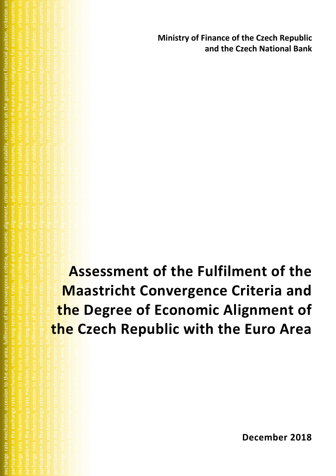**Ministry of Finance of the Czech Republic and the Czech National Bank**

participation in the exchange rate mechanism, criterion on long-term interest rates, cyclical and structural alignment, adjustment mechanisms, situation in the euro area, obligations for accession countries, exchange rate mechanism, accession to the euro area, fulfiled at convergence criteria, economic alignment, criterion on price stability, criterion on the government financial position, criterion on participation in the exchange rate mechanism, criterion on long-term in the mechanisms, situation in the euro area, obligations for accession countries, exchange rate mechanism, accession to the euro area, fulfilment of the convergence of the criteria, on the government financial position, criterion on participation in the exchange rate mechanism, criterion on long-term interest rates, cyclical and structural alignment, adjustment mechanisms, situation in the euro area, obligations for accession countries, exchange rate mechanism, accession to the convergence criteria, economic alignment, criteria, economic alignme participation on long-term interest rates, cyclical and structural and structural and structural and structural and structural and structural alignment, and situation in the euro area, obligations for accession countries, **Assessment of the Fulfilment of the Maastricht Convergence Criteria and the Degree of Economic Alignment of the Czech Republic with the Euro Area**

exchange rate mechanism, accession to the euro area, fulfilment of the convergence criteria, economic alignment, criterion on price stability, criterion on the government financial position, criterion on participation in the exchange rate mechanism, criterion on long-term interest rates, cyclical and structural alignment, adjustment mechanisms, situation in the euro area, obligations for accession countries,

**December 2018**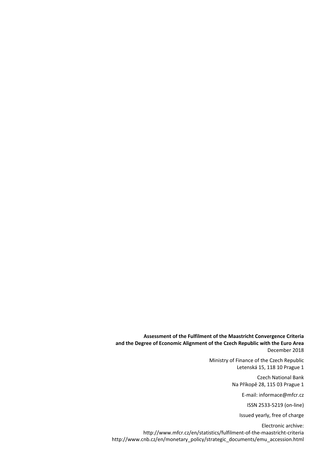**Assessment of the Fulfilment of the Maastricht Convergence Criteria and the Degree of Economic Alignment of the Czech Republic with the Euro Area** December 2018

> Ministry of Finance of the Czech Republic Letenská 15, 118 10 Prague 1

> > Czech National Bank Na Příkopě 28, 115 03 Prague 1

> > > E-mail: informace@mfcr.cz

ISSN 2533-5219 (on-line)

Issued yearly, free of charge

Electronic archive: http://www.mfcr.cz/en/statistics/fulfilment-of-the-maastricht-criteria [http://www.cnb.cz/en/monetary\\_policy/strategic\\_documents/emu\\_accession.html](http://www.cnb.cz/en/monetary_policy/strategic_documents/emu_accession.html)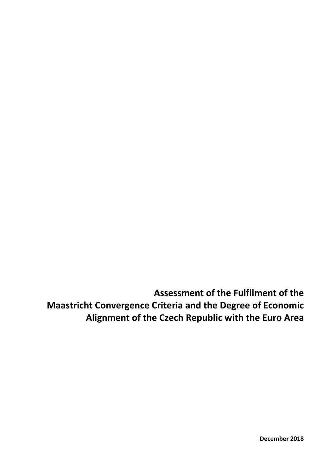**Assessment of the Fulfilment of the Maastricht Convergence Criteria and the Degree of Economic Alignment of the Czech Republic with the Euro Area**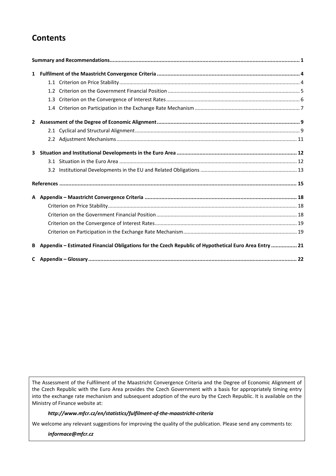# **Contents**

| 3 |                                                                                                       |  |
|---|-------------------------------------------------------------------------------------------------------|--|
|   |                                                                                                       |  |
|   |                                                                                                       |  |
|   |                                                                                                       |  |
|   |                                                                                                       |  |
|   |                                                                                                       |  |
|   |                                                                                                       |  |
|   |                                                                                                       |  |
|   |                                                                                                       |  |
| B | Appendix - Estimated Financial Obligations for the Czech Republic of Hypothetical Euro Area Entry  21 |  |
|   |                                                                                                       |  |

The Assessment of the Fulfilment of the Maastricht Convergence Criteria and the Degree of Economic Alignment of the Czech Republic with the Euro Area provides the Czech Government with a basis for appropriately timing entry into the exchange rate mechanism and subsequent adoption of the euro by the Czech Republic. It is available on the Ministry of Finance website at:

### *http://www.mfcr.cz/en/statistics/fulfilment-of-the-maastricht-criteria*

We welcome any relevant suggestions for improving the quality of the publication. Please send any comments to:

*informace@mfcr.cz*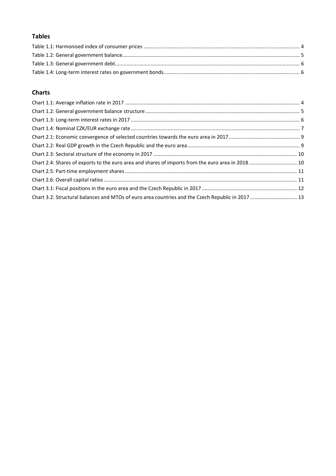# **Tables**

# **Charts**

| Chart 3.2: Structural balances and MTOs of euro area countries and the Czech Republic in 2017  13 |  |
|---------------------------------------------------------------------------------------------------|--|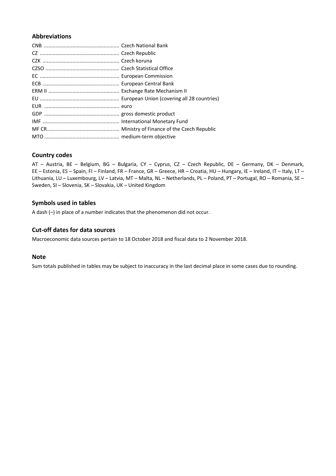## **Abbreviations**

## **Country codes**

AT – Austria, BE – Belgium, BG – Bulgaria, CY – Cyprus, CZ – Czech Republic, DE – Germany, DK – Denmark, EE – Estonia, ES – Spain, FI – Finland, FR – France, GR – Greece, HR – Croatia, HU – Hungary, IE – Ireland, IT – Italy, LT – Lithuania, LU – Luxembourg, LV – Latvia, MT – Malta, NL – Netherlands, PL – Poland, PT – Portugal, RO – Romania, SE – Sweden, SI – Slovenia, SK – Slovakia, UK – United Kingdom

## **Symbols used in tables**

A dash (–) in place of a number indicates that the phenomenon did not occur.

## **Cut-off dates for data sources**

Macroeconomic data sources pertain to 18 October 2018 and fiscal data to 2 November 2018.

### **Note**

Sum totals published in tables may be subject to inaccuracy in the last decimal place in some cases due to rounding.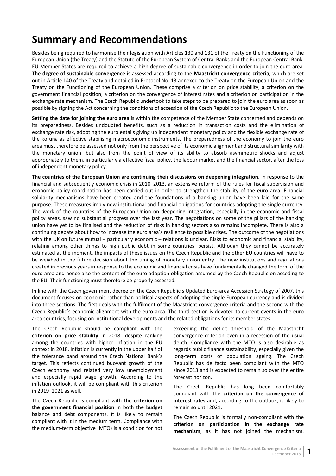# <span id="page-6-0"></span>**Summary and Recommendations**

Besides being required to harmonise their legislation with Articles 130 and 131 of the Treaty on the Functioning of the European Union (the Treaty) and the Statute of the European System of Central Banks and the European Central Bank, EU Member States are required to achieve a high degree of sustainable convergence in order to join the euro area. **The degree of sustainable convergence** is assessed according to the **Maastricht convergence criteria**, which are set out in Article 140 of the Treaty and detailed in Protocol No. 13 annexed to the Treaty on the European Union and the Treaty on the Functioning of the European Union. These comprise a criterion on price stability, a criterion on the government financial position, a criterion on the convergence of interest rates and a criterion on participation in the exchange rate mechanism. The Czech Republic undertook to take steps to be prepared to join the euro area as soon as possible by signing the Act concerning the conditions of accession of the Czech Republic to the European Union.

**Setting the date for joining the euro area** is within the competence of the Member State concerned and depends on its preparedness. Besides undoubted benefits, such as a reduction in transaction costs and the elimination of exchange rate risk, adopting the euro entails giving up independent monetary policy and the flexible exchange rate of the koruna as effective stabilising macroeconomic instruments. The preparedness of the economy to join the euro area must therefore be assessed not only from the perspective of its economic alignment and structural similarity with the monetary union, but also from the point of view of its ability to absorb asymmetric shocks and adjust appropriately to them, in particular via effective fiscal policy, the labour market and the financial sector, after the loss of independent monetary policy.

**The countries of the European Union are continuing their discussions on deepening integration**. In response to the financial and subsequently economic crisis in 2010–2013, an extensive reform of the rules for fiscal supervision and economic policy coordination has been carried out in order to strengthen the stability of the euro area. Financial solidarity mechanisms have been created and the foundations of a banking union have been laid for the same purpose. These measures imply new institutional and financial obligations for countries adopting the single currency. The work of the countries of the European Union on deepening integration, especially in the economic and fiscal policy areas, saw no substantial progress over the last year. The negotiations on some of the pillars of the banking union have yet to be finalised and the reduction of risks in banking sectors also remains incomplete. There is also a continuing debate about how to increase the euro area's resilience to possible crises. The outcome of the negotiations with the UK on future mutual – particularly economic – relations is unclear. Risks to economic and financial stability, relating among other things to high public debt in some countries, persist. Although they cannot be accurately estimated at the moment, the impacts of these issues on the Czech Republic and the other EU countries will have to be weighed in the future decision about the timing of monetary union entry. The new institutions and regulations created in previous years in response to the economic and financial crisis have fundamentally changed the form of the euro area and hence also the content of the euro adoption obligation assumed by the Czech Republic on acceding to the EU. Their functioning must therefore be properly assessed.

In line with the Czech government decree on the Czech Republic's Updated Euro-area Accession Strategy of 2007, this document focuses on economic rather than political aspects of adopting the single European currency and is divided into three sections. The first deals with the fulfilment of the Maastricht convergence criteria and the second with the Czech Republic's economic alignment with the euro area. The third section is devoted to current events in the euro area countries, focusing on institutional developments and the related obligations for its member states.

The Czech Republic should be compliant with the **criterion on price stability** in 2018, despite ranking among the countries with higher inflation in the EU context in 2018. Inflation is currently in the upper half of the tolerance band around the Czech National Bank's target. This reflects continued buoyant growth of the Czech economy and related very low unemployment and especially rapid wage growth. According to the inflation outlook, it will be compliant with this criterion in 2019–2021 as well.

The Czech Republic is compliant with the **criterion on the government financial position** in both the budget balance and debt components. It is likely to remain compliant with it in the medium term. Compliance with the medium-term objective (MTO) is a condition for not exceeding the deficit threshold of the Maastricht convergence criterion even in a recession of the usual depth. Compliance with the MTO is also desirable as regards public finance sustainability, especially given the long-term costs of population ageing. The Czech Republic has de facto been compliant with the MTO since 2013 and is expected to remain so over the entire forecast horizon.

The Czech Republic has long been comfortably compliant with the **criterion on the convergence of interest rates** and, according to the outlook, is likely to remain so until 2021.

The Czech Republic is formally non-compliant with the **criterion on participation in the exchange rate mechanism**, as it has not joined the mechanism.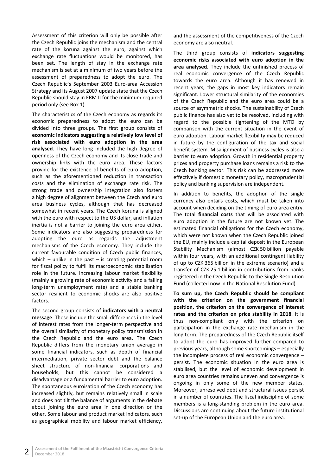Assessment of this criterion will only be possible after the Czech Republic joins the mechanism and the central rate of the koruna against the euro, against which exchange rate fluctuations would be monitored, has been set. The length of stay in the exchange rate mechanism is set at a minimum of two years before the assessment of preparedness to adopt the euro. The Czech Republic's September 2003 Euro-area Accession Strategy and its August 2007 update state that the Czech Republic should stay in ERM II for the minimum required period only (see Box 1).

The characteristics of the Czech economy as regards its economic preparedness to adopt the euro can be divided into three groups. The first group consists of **economic indicators suggesting a relatively low level of risk associated with euro adoption in the area analysed**. They have long included the high degree of openness of the Czech economy and its close trade and ownership links with the euro area. These factors provide for the existence of benefits of euro adoption, such as the aforementioned reduction in transaction costs and the elimination of exchange rate risk. The strong trade and ownership integration also fosters a high degree of alignment between the Czech and euro area business cycles, although that has decreased somewhat in recent years. The Czech koruna is aligned with the euro with respect to the US dollar, and inflation inertia is not a barrier to joining the euro area either. Some indicators are also suggesting preparedness for adopting the euro as regards the adjustment mechanisms of the Czech economy. They include the current favourable condition of Czech public finances, which – unlike in the past – is creating potential room for fiscal policy to fulfil its macroeconomic stabilisation role in the future. Increasing labour market flexibility (mainly a growing rate of economic activity and a falling long-term unemployment rate) and a stable banking sector resilient to economic shocks are also positive factors.

The second group consists of **indicators with a neutral message**. These include the small differences in the level of interest rates from the longer-term perspective and the overall similarity of monetary policy transmission in the Czech Republic and the euro area. The Czech Republic differs from the monetary union average in some financial indicators, such as depth of financial intermediation, private sector debt and the balance sheet structure of non-financial corporations and households, but this cannot be considered a disadvantage or a fundamental barrier to euro adoption. The spontaneous euroisation of the Czech economy has increased slightly, but remains relatively small in scale and does not tilt the balance of arguments in the debate about joining the euro area in one direction or the other. Some labour and product market indicators, such as geographical mobility and labour market efficiency,

and the assessment of the competitiveness of the Czech economy are also neutral.

The third group consists of **indicators suggesting economic risks associated with euro adoption in the area analysed**. They include the unfinished process of real economic convergence of the Czech Republic towards the euro area. Although it has renewed in recent years, the gaps in most key indicators remain significant. Lower structural similarity of the economies of the Czech Republic and the euro area could be a source of asymmetric shocks. The sustainability of Czech public finance has also yet to be resolved, including with regard to the possible tightening of the MTO by comparison with the current situation in the event of euro adoption. Labour market flexibility may be reduced in future by the configuration of the tax and social benefit system. Misalignment of business cycles is also a barrier to euro adoption. Growth in residential property prices and property purchase loans remains a risk to the Czech banking sector. This risk can be addressed more effectively if domestic monetary policy, macroprudential policy and banking supervision are independent.

In addition to benefits, the adoption of the single currency also entails costs, which must be taken into account when deciding on the timing of euro area entry. The total **financial costs** that will be associated with euro adoption in the future are not known yet. The estimated financial obligations for the Czech economy, which were not known when the Czech Republic joined the EU, mainly include a capital deposit in the European Stability Mechanism (almost CZK 50 billion payable within four years, with an additional contingent liability of up to CZK 365 billion in the extreme scenario) and a transfer of CZK 25.1 billion in contributions from banks registered in the Czech Republic to the Single Resolution Fund (collected now in the National Resolution Fund).

**To sum up, the Czech Republic should be compliant with the criterion on the government financial position, the criterion on the convergence of interest rates and the criterion on price stability in 2018**. It is thus non-compliant only with the criterion on participation in the exchange rate mechanism in the long term. The preparedness of the Czech Republic itself to adopt the euro has improved further compared to previous years, although some shortcomings – especially the incomplete process of real economic convergence – persist. The economic situation in the euro area is stabilised, but the level of economic development in euro area countries remains uneven and convergence is ongoing in only some of the new member states. Moreover, unresolved debt and structural issues persist in a number of countries. The fiscal indiscipline of some members is a long-standing problem in the euro area. Discussions are continuing about the future institutional set-up of the European Union and the euro area.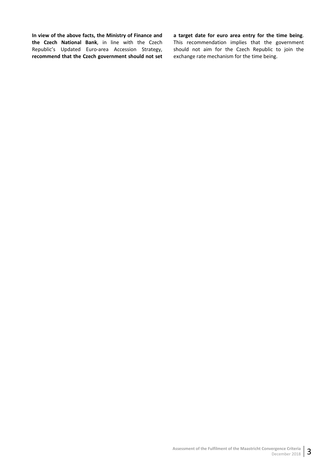**In view of the above facts, the Ministry of Finance and the Czech National Bank**, in line with the Czech Republic's Updated Euro-area Accession Strategy, **recommend that the Czech government should not set**  **a target date for euro area entry for the time being**.

This recommendation implies that the government should not aim for the Czech Republic to join the exchange rate mechanism for the time being.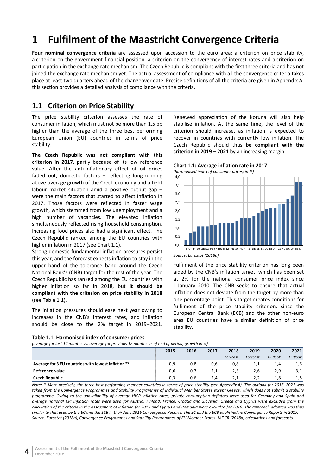# <span id="page-9-0"></span>**1 Fulfilment of the Maastricht Convergence Criteria**

**Four nominal convergence criteria** are assessed upon accession to the euro area: a criterion on price stability, a criterion on the government financial position, a criterion on the convergence of interest rates and a criterion on participation in the exchange rate mechanism. The Czech Republic is compliant with the first three criteria and has not joined the exchange rate mechanism yet. The actual assessment of compliance with all the convergence criteria takes place at least two quarters ahead of the changeover date. Precise definitions of all the criteria are given in Appendix A; this section provides a detailed analysis of compliance with the criteria.

## <span id="page-9-1"></span>**1.1 Criterion on Price Stability**

The price stability criterion assesses the rate of consumer inflation, which must not be more than 1.5 pp higher than the average of the three best performing European Union (EU) countries in terms of price stability.

**The Czech Republic was not compliant with this criterion in 2017**, partly because of its low reference value. After the anti-inflationary effect of oil prices faded out, domestic factors – reflecting long-running above-average growth of the Czech economy and a tight labour market situation amid a positive output gap – were the main factors that started to affect inflation in 2017. Those factors were reflected in faster wage growth, which stemmed from low unemployment and a high number of vacancies. The elevated inflation simultaneously reflected rising household consumption. Increasing food prices also had a significant effect. The Czech Republic ranked among the EU countries with higher inflation in 2017 (see Chart 1.1).

Strong domestic fundamental inflation pressures persist this year, and the forecast expects inflation to stay in the upper band of the tolerance band around the Czech National Bank's (CNB) target for the rest of the year. The Czech Republic has ranked among the EU countries with higher inflation so far in 2018, but **it should be compliant with the criterion on price stability in 2018** (see Table 1.1).

The inflation pressures should ease next year owing to increases in the CNB's interest rates, and inflation should be close to the 2% target in 2019–2021.

#### <span id="page-9-2"></span>**Table 1.1: Harmonised index of consumer prices**

*(average for last 12 months vs. average for previous 12 months as of end of period; growth in %)*

Renewed appreciation of the koruna will also help stabilise inflation. At the same time, the level of the criterion should increase, as inflation is expected to recover in countries with currently low inflation. The Czech Republic should thus **be compliant with the criterion in 2019 – 2021** by an increasing margin.

<span id="page-9-3"></span>**Chart 1.1: Average inflation rate in 2017** *(harmonised index of consumer prices; in %)*



*Source: Eurostat (2018a)*.

Fulfilment of the price stability criterion has long been aided by the CNB's inflation target, which has been set at 2% for the national consumer price index since 1 January 2010. The CNB seeks to ensure that actual inflation does not deviate from the target by more than one percentage point. This target creates conditions for fulfilment of the price stability criterion, since the European Central Bank (ECB) and the other non-euro area EU countries have a similar definition of price stability.

| - -<br>$\sim$                                       | .      | .    |      |          |          |         |                |
|-----------------------------------------------------|--------|------|------|----------|----------|---------|----------------|
|                                                     | 2015   | 2016 | 2017 | 2018     | 2019     | 2020    | 2021           |
|                                                     |        |      |      | Forecast | Forecast | Outlook | <b>Outlook</b> |
| Average for 3 EU countries with lowest inflation *2 | $-0.9$ | -0.8 | 0.6  | 0,8      | 1,1      | 1,4     | 1,6            |
| Reference value                                     |        | 0.7  | 2,1  |          | 2.6      | 2.9     | 3,1            |
| Czech Republic                                      | 0.3    | 0.6  | 2.4  | 2.1      | 2.2      | 1.8     | 1.8            |

*Note: \* More precisely, the three best performing member countries in terms of price stability (see Appendix A). The outlook for 2018–2021 was*  taken from the Convergence Programmes and Stability Programmes of individual Member States except Greece, which does not submit a stability *programme. Owing to the unavailability of average HICP inflation rates, private consumption deflators were used for Germany and Spain and average national CPI inflation rates were used for Austria, Finland, France, Croatia and Slovenia. Greece and Cyprus were excluded from the calculation of the criteria in the assessment of inflation for 2015 and Cyprus and Romania were excluded for 2016. The approach adopted was thus similar to that used by the EC and the ECB in their June 2016 Convergence Reports. The EC and the ECB published no Convergence Reports in 2017. Source: Eurostat (2018a), Convergence Programmes and Stability Programmes of EU Member States. MF CR (2018a) calculations and forecasts.*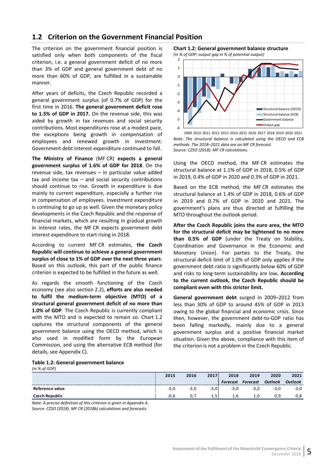## <span id="page-10-0"></span>**1.2 Criterion on the Government Financial Position**

The criterion on the government financial position is satisfied only when both components of the fiscal criterion, i.e. a general government deficit of no more than 3% of GDP and general government debt of no more than 60% of GDP, are fulfilled in a sustainable manner.

After years of deficits, the Czech Republic recorded a general government surplus (of 0.7% of GDP) for the first time in 2016. **The general government deficit rose to 1.5% of GDP in 2017.** On the revenue side, this was aided by growth in tax revenues and social security contributions. Most expenditures rose at a modest pace, the exceptions being growth in compensation of employees and renewed growth in investment. Government debt interest expenditure continued to fall.

**The Ministry of Finance** (MF CR) **expects a general government surplus of 1.6% of GDP for 2018**. On the revenue side, tax revenues – in particular value added tax and income  $tax - and social security contributions$ should continue to rise. Growth in expenditure is due mainly to current expenditure, especially a further rise in compensation of employees. Investment expenditure is continuing to go up as well. Given the monetary policy developments in the Czech Republic and the response of financial markets, which are resulting in gradual growth in interest rates, the MF CR expects government debt interest expenditure to start rising in 2018.

According to current MF CR estimates, **the Czech Republic will continue to achieve a general government surplus of close to 1% of GDP over the next three years**. Based on this outlook, this part of the public finance criterion is expected to be fulfilled in the future as well.

As regards the smooth functioning of the Czech economy (see also section 2.2), **efforts are also needed to fulfil the medium-term objective (MTO) of a structural general government deficit of no more than 1.0% of GDP**. The Czech Republic is currently compliant with the MTO and is expected to remain so. Chart 1.2 captures the structural components of the general government balance using the OECD method, which is also used in modified form by the European Commission, and using the alternative ECB method (for details, see Appendix C).

<span id="page-10-2"></span>**Chart 1.2: General government balance structure**





*Note: The structural balance is calculated using the OECD and ECB methods. The 2018–2021 data are an MF CR forecast. Source: CZSO (2018). MF CR calculations.* 2009 2010 2011 2012 2013 2014 2015 2016 2017 2018 2019 2020 2021

Using the OECD method, the MF CR estimates the structural balance at 1.1% of GDP in 2018, 0.5% of GDP in 2019, 0.4% of GDP in 2020 and 0.3% of GDP in 2021.

Based on the ECB method, the MF CR estimates the structural balance at 1.4% of GDP in 2018, 0.6% of GDP in 2019 and 0.7% of GDP in 2020 and 2021. The government's plans are thus directed at fulfilling the MTO throughout the outlook period.

**After the Czech Republic joins the euro area, the MTO for the structural deficit may be tightened to no more than 0.5% of GDP** (under the Treaty on Stability, Coordination and Governance in the Economic and Monetary Union). For parties to the Treaty, the structural deficit limit of 1.0% of GDP only applies if the government debt ratio is significantly below 60% of GDP and risks to long-term sustainability are low**. According to the current outlook, the Czech Republic should be compliant even with this stricter limit.**

**General government debt** surged in 2009–2012 from less than 30% of GDP to around 45% of GDP in 2013 owing to the global financial and economic crisis. Since then, however, the government debt-to-GDP ratio has been falling markedly, mainly due to a general government surplus and a positive financial market situation. Given the above, compliance with this item of the criterion is not a problem in the Czech Republic.

#### <span id="page-10-1"></span>**Table 1.2: General government balance**

*(in % of GDP)*

|                 | 2015   | 2016 | 2017    | 2018       | 2019    | 2020 | 2021   |
|-----------------|--------|------|---------|------------|---------|------|--------|
|                 |        |      |         |            | ecast : |      |        |
| Reference value | $-3.0$ | - -  | $3.0^+$ | -3, L      | - -     | -3.0 | $-3,0$ |
|                 |        | υ.,  | ر       | <b>1.U</b> | 1.U     |      | 0,8    |

*Note: A precise definition of this criterion is given in Appendix A. Source: CZSO (2018). MF CR (2018b) calculations and forecasts.*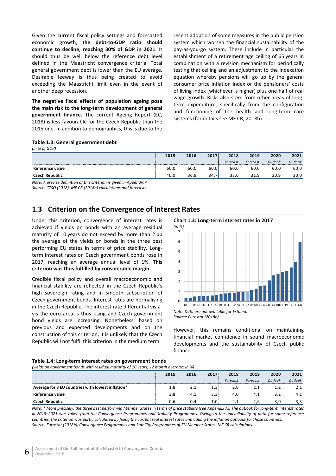Given the current fiscal policy settings and forecasted economic growth, **the debt-to-GDP ratio should continue to decline, reaching 30% of GDP in 2021**. It should thus be well below the reference debt level defined in the Maastricht convergence criteria. Total general government debt is lower than the EU average. Desirable leeway is thus being created to avoid exceeding the Maastricht limit even in the event of another deep recession.

**The negative fiscal effects of population ageing pose the main risk to the long-term development of general government finance.** The current Ageing Report (EC, 2018) is less favourable for the Czech Republic than the 2015 one. In addition to demographics, this is due to the recent adoption of some measures in the public pension system which worsen the financial sustainability of the pay-as-you-go system. These include in particular the establishment of a retirement age ceiling of 65 years in combination with a revision mechanism for periodically testing that ceiling and an adjustment to the indexation equation whereby pensions will go up by the general consumer price inflation index or the pensioners' costs of living index (whichever is higher) plus one-half of real wage growth. Risks also stem from other areas of longterm expenditure, specifically from the configuration and functioning of the health and long-term care systems (for details see MF CR, 2018b).

#### <span id="page-11-1"></span>**Table 1.3: General government debt**

*(in % of GDP)*

|                 | 2015 | 2016 | 2017<br>2017 | 2018     | 2019     | 2020    | 2021    |
|-----------------|------|------|--------------|----------|----------|---------|---------|
|                 |      |      |              | Forecast | Forecast | Outlook | Outlook |
| Reference value | 60.0 | 60.0 | bu.u         | 60.U     | 60.U     | 60.L    | 60,0    |
| і керирііс      |      | 30.8 | 34           | ັບ ເປ    |          | 30.9    | 30,0    |
|                 |      |      |              |          |          |         |         |

*Note: A precise definition of this criterion is given in Appendix A. Source: CZSO (2018). MF CR (2018b) calculations and forecasts.*

## <span id="page-11-0"></span>**1.3 Criterion on the Convergence of Interest Rates**

Under this criterion, convergence of interest rates is achieved if yields on bonds with an average residual maturity of 10 years do not exceed by more than 2 pp the average of the yields on bonds in the three best performing EU states in terms of price stability. Longterm interest rates on Czech government bonds rose in 2017, reaching an average annual level of 1%. **This criterion was thus fulfilled by considerable margin.**

Credible fiscal policy and overall macroeconomic and financial stability are reflected in the Czech Republic's high sovereign rating and in smooth subscription of Czech government bonds. Interest rates are normalising in the Czech Republic. The interest rate differential vis-àvis the euro area is thus rising and Czech government bond yields are increasing. Nonetheless, based on previous and expected developments and on the construction of this criterion, it is unlikely that the Czech Republic will not fulfil this criterion in the medium term.

<span id="page-11-3"></span>**Chart 1.3: Long-term interest rates in 2017** 



However, this remains conditional on maintaining financial market confidence in sound macroeconomic developments and the sustainability of Czech public finance.

#### <span id="page-11-2"></span>**Table 1.4: Long-term interest rates on government bonds**

*(yields on government bonds with residual maturity of 10 years; 12 month average; in %)*

|                                                   | 2015 | 2016 | 2017 | 2018     | 2019     | 2020    | 2021     |
|---------------------------------------------------|------|------|------|----------|----------|---------|----------|
|                                                   |      |      |      | Forecast | Forecast | Outlook | Outlook  |
| Average for 3 EU countries with lowest inflation* | 1,8  | 2,1  | 1,3' | 2,0      |          | T, Z    | <u>.</u> |
| Reference value                                   | 3,8  | 4,1  | 3,3  | 4,0      | 4,⊥      | 3,2     | 4,1      |
| <b>Czech Republic</b>                             | 0.6  | 0.4  | 1,0  | 2.1      | 2.6      | 3.0     | 3.3      |

*Note: \* More precisely, the three best performing Member States in terms of price stability (see Appendix A). The outlook for long-term interest rates in 2018–2021 was taken from the Convergence Programmes and Stability Programmes. Owing to the unavailability of data for some reference countries, the criterion was partly calculated by fixing the current real interest rates and adding the inflation outlooks for those countries. Source: Eurostat (2018b), Convergence Programmes and Stability Programmes of EU Member States. MF CR calculations.*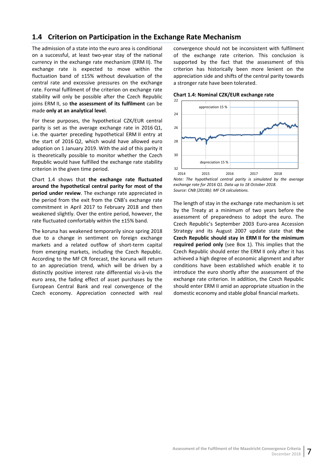## <span id="page-12-0"></span>**1.4 Criterion on Participation in the Exchange Rate Mechanism**

The admission of a state into the euro area is conditional on a successful, at least two-year stay of the national currency in the exchange rate mechanism (ERM II). The exchange rate is expected to move within the fluctuation band of ±15% without devaluation of the central rate and excessive pressures on the exchange rate. Formal fulfilment of the criterion on exchange rate stability will only be possible after the Czech Republic joins ERM II, so **the assessment of its fulfilment** can be made **only at an analytical level**.

For these purposes, the hypothetical CZK/EUR central parity is set as the average exchange rate in 2016 Q1, i.e. the quarter preceding hypothetical ERM II entry at the start of 2016 Q2, which would have allowed euro adoption on 1 January 2019. With the aid of this parity it is theoretically possible to monitor whether the Czech Republic would have fulfilled the exchange rate stability criterion in the given time period.

Chart 1.4 shows that **the exchange rate fluctuated around the hypothetical central parity for most of the period under review**. The exchange rate appreciated in the period from the exit from the CNB's exchange rate commitment in April 2017 to February 2018 and then weakened slightly. Over the entire period, however, the rate fluctuated comfortably within the ±15% band.

The koruna has weakened temporarily since spring 2018 due to a change in sentiment on foreign exchange markets and a related outflow of short-term capital from emerging markets, including the Czech Republic. According to the MF CR forecast, the koruna will return to an appreciation trend, which will be driven by a distinctly positive interest rate differential vis-à-vis the euro area, the fading effect of asset purchases by the European Central Bank and real convergence of the Czech economy. Appreciation connected with real

convergence should not be inconsistent with fulfilment of the exchange rate criterion. This conclusion is supported by the fact that the assessment of this criterion has historically been more lenient on the appreciation side and shifts of the central parity towards a stronger rate have been tolerated.

<span id="page-12-1"></span>



*Note: The hypothetical central parity is simulated by the average exchange rate for 2016 Q1. Data up to 18 October 2018. Source: CNB (2018b): MF CR calculations.*

The length of stay in the exchange rate mechanism is set by the Treaty at a minimum of two years before the assessment of preparedness to adopt the euro. The Czech Republic's September 2003 Euro-area Accession Strategy and its August 2007 update state that **the Czech Republic should stay in ERM II for the minimum required period only** (see Box 1). This implies that the Czech Republic should enter the ERM II only after it has achieved a high degree of economic alignment and after conditions have been established which enable it to introduce the euro shortly after the assessment of the exchange rate criterion. In addition, the Czech Republic should enter ERM II amid an appropriate situation in the domestic economy and stable global financial markets.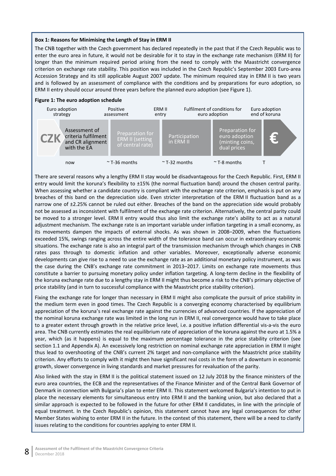#### **Box 1: Reasons for Minimising the Length of Stay in ERM II**

The CNB together with the Czech government has declared repeatedly in the past that if the Czech Republic was to enter the euro area in future, it would not be desirable for it to stay in the exchange rate mechanism (ERM II) for longer than the minimum required period arising from the need to comply with the Maastricht convergence criterion on exchange rate stability. This position was included in the Czech Republic's September 2003 Euro-area Accession Strategy and its still applicable August 2007 update. The minimum required stay in ERM II is two years and is followed by an assessment of compliance with the conditions and by preparations for euro adoption, so ERM II entry should occur around three years before the planned euro adoption (see Figure 1).

#### **Figure 1: The euro adoption schedule**



There are several reasons why a lengthy ERM II stay would be disadvantageous for the Czech Republic. First, ERM II entry would limit the koruna's flexibility to ±15% (the normal fluctuation band) around the chosen central parity. When assessing whether a candidate country is compliant with the exchange rate criterion, emphasis is put on any breaches of this band on the depreciation side. Even stricter interpretation of the ERM II fluctuation band as a narrow one of ±2.25% cannot be ruled out either. Breaches of the band on the appreciation side would probably not be assessed as inconsistent with fulfilment of the exchange rate criterion. Alternatively, the central parity could be moved to a stronger level. ERM II entry would thus also limit the exchange rate's ability to act as a natural adjustment mechanism. The exchange rate is an important variable under inflation targeting in a small economy, as its movements dampen the impacts of external shocks. As was shown in 2008–2009, when the fluctuations exceeded 15%, swings ranging across the entire width of the tolerance band can occur in extraordinary economic situations. The exchange rate is also an integral part of the transmission mechanism through which changes in CNB rates pass through to domestic inflation and other variables. Moreover, exceptionally adverse economic developments can give rise to a need to use the exchange rate as an additional monetary policy instrument, as was the case during the CNB's exchange rate commitment in 2013–2017. Limits on exchange rate movements thus constitute a barrier to pursuing monetary policy under inflation targeting. A long-term decline in the flexibility of the koruna exchange rate due to a lengthy stay in ERM II might thus become a risk to the CNB's primary objective of price stability (and in turn to successful compliance with the Maastricht price stability criterion).

Fixing the exchange rate for longer than necessary in ERM II might also complicate the pursuit of price stability in the medium term even in good times. The Czech Republic is a converging economy characterised by equilibrium appreciation of the koruna's real exchange rate against the currencies of advanced countries. If the appreciation of the nominal koruna exchange rate was limited in the long run in ERM II, real convergence would have to take place to a greater extent through growth in the relative price level, i.e. a positive inflation differential vis-a-vis the euro area. The CNB currently estimates the real equilibrium rate of appreciation of the koruna against the euro at 1.5% a year, which (as it happens) is equal to the maximum percentage tolerance in the price stability criterion (see section 1.1 and Appendix A). An excessively long restriction on nominal exchange rate appreciation in ERM II might thus lead to overshooting of the CNB's current 2% target and non-compliance with the Maastricht price stability criterion. Any efforts to comply with it might then have significant real costs in the form of a downturn in economic growth, slower convergence in living standards and market pressures for revaluation of the parity.

Also linked with the stay in ERM II is the political statement issued on 12 July 2018 by the finance ministers of the euro area countries, the ECB and the representatives of the Finance Minister and of the Central Bank Governor of Denmark in connection with Bulgaria's plan to enter ERM II. This statement welcomed Bulgaria's intention to put in place the necessary elements for simultaneous entry into ERM II and the banking union, but also declared that a similar approach is expected to be followed in the future for other ERM II candidates, in line with the principle of equal treatment. In the Czech Republic's opinion, this statement cannot have any legal consequences for other Member States wishing to enter ERM II in the future. In the context of this statement, there will be a need to clarify issues relating to the conditions for countries applying to enter ERM II.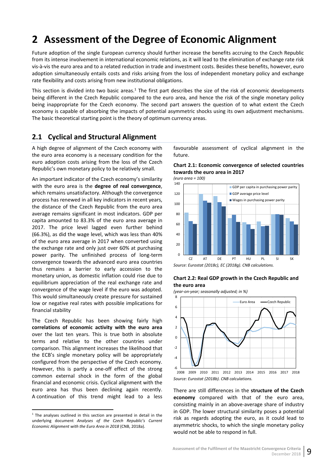# <span id="page-14-0"></span>**2 Assessment of the Degree of Economic Alignment**

Future adoption of the single European currency should further increase the benefits accruing to the Czech Republic from its intense involvement in international economic relations, as it will lead to the elimination of exchange rate risk vis-à-vis the euro area and to a related reduction in trade and investment costs. Besides these benefits, however, euro adoption simultaneously entails costs and risks arising from the loss of independent monetary policy and exchange rate flexibility and costs arising from new institutional obligations.

This section is divided into two basic areas.<sup>1</sup> The first part describes the size of the risk of economic developments being different in the Czech Republic compared to the euro area, and hence the risk of the single monetary policy being inappropriate for the Czech economy. The second part answers the question of to what extent the Czech economy is capable of absorbing the impacts of potential asymmetric shocks using its own adjustment mechanisms. The basic theoretical starting point is the theory of optimum currency areas.

## <span id="page-14-1"></span>**2.1 Cyclical and Structural Alignment**

A high degree of alignment of the Czech economy with the euro area economy is a necessary condition for the euro adoption costs arising from the loss of the Czech Republic's own monetary policy to be relatively small.

An important indicator of the Czech economy's similarity with the euro area is the **degree of real convergence**, which remains unsatisfactory. Although the convergence process has renewed in all key indicators in recent years, the distance of the Czech Republic from the euro area average remains significant in most indicators. GDP per capita amounted to 83.3% of the euro area average in 2017. The price level lagged even further behind (66.3%), as did the wage level, which was less than 40% of the euro area average in 2017 when converted using the exchange rate and only just over 60% at purchasing power parity. The unfinished process of long-term convergence towards the advanced euro area countries thus remains a barrier to early accession to the monetary union, as domestic inflation could rise due to equilibrium appreciation of the real exchange rate and convergence of the wage level if the euro was adopted. This would simultaneously create pressure for sustained low or negative real rates with possible implications for financial stability

The Czech Republic has been showing fairly high **correlations of economic activity with the euro area** over the last ten years. This is true both in absolute terms and relative to the other countries under comparison. This alignment increases the likelihood that the ECB's single monetary policy will be appropriately configured from the perspective of the Czech economy. However, this is partly a one-off effect of the strong common external shock in the form of the global financial and economic crisis. Cyclical alignment with the euro area has thus been declining again recently. A continuation of this trend might lead to a less

favourable assessment of cyclical alignment in the future.

<span id="page-14-2"></span>

*(euro area = 100)*



#### <span id="page-14-3"></span>**Chart 2.2: Real GDP growth in the Czech Republic and the euro area**

*(year-on-year; seasonally adjusted; in %)*



There are still differences in the **structure of the Czech economy** compared with that of the euro area, consisting mainly in an above-average share of industry in GDP. The lower structural similarity poses a potential risk as regards adopting the euro, as it could lead to asymmetric shocks, to which the single monetary policy would not be able to respond in full.

<span id="page-14-4"></span> $1$  The analyses outlined in this section are presented in detail in the underlying document *Analyses of the Czech Republic's Current Economic Alignment with the Euro Area in 2018* (CNB, 2018a).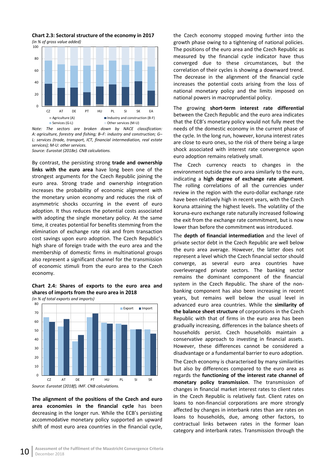

<span id="page-15-0"></span>**Chart 2.3: Sectoral structure of the economy in 2017** *(in % of gross value added)*

*Note: The sectors are broken down by NACE classification: A: agriculture, forestry and fishing; B–F: industry and construction; G– L: services (trade, transport, ICT, financial intermediation, real estate services); M-U: other services. Source: Eurostat (2018e). CNB calculations.*

By contrast, the persisting strong **trade and ownership links with the euro area** have long been one of the strongest arguments for the Czech Republic joining the euro area. Strong trade and ownership integration increases the probability of economic alignment with the monetary union economy and reduces the risk of asymmetric shocks occurring in the event of euro adoption. It thus reduces the potential costs associated with adopting the single monetary policy. At the same time, it creates potential for benefits stemming from the elimination of exchange rate risk and from transaction cost savings upon euro adoption. The Czech Republic's high share of foreign trade with the euro area and the membership of domestic firms in multinational groups also represent a significant channel for the transmission of economic stimuli from the euro area to the Czech economy.

<span id="page-15-1"></span>**Chart 2.4: Shares of exports to the euro area and shares of imports from the euro area in 2018**  *(in % of total exports and imports)*

*Source: Eurostat (2018f), IMF. CNB calculations.*  $\Omega$ 10 20 30 40 50 60 70 80 CZ AT DE PT HU PL SI SK Export Import

**The alignment of the positions of the Czech and euro area economies in the financial cycle** has been decreasing in the longer run. While the ECB's persisting accommodative monetary policy supported an upward shift of most euro area countries in the financial cycle,

the Czech economy stopped moving further into the growth phase owing to a tightening of national policies. The positions of the euro area and the Czech Republic as measured by the financial cycle indicator have thus converged due to these circumstances, but the correlation of their cycles is showing a downward trend. The decrease in the alignment of the financial cycle increases the potential costs arising from the loss of national monetary policy and the limits imposed on national powers in macroprudential policy.

The growing **short-term interest rate differential** between the Czech Republic and the euro area indicates that the ECB's monetary policy would not fully meet the needs of the domestic economy in the current phase of the cycle. In the long run, however, koruna interest rates are close to euro ones, so the risk of there being a large shock associated with interest rate convergence upon euro adoption remains relatively small.

The Czech currency reacts to changes in the environment outside the euro area similarly to the euro, indicating a **high degree of exchange rate alignment**. The rolling correlations of all the currencies under review in the region with the euro-dollar exchange rate have been relatively high in recent years, with the Czech koruna attaining the highest levels. The volatility of the koruna-euro exchange rate naturally increased following the exit from the exchange rate commitment, but is now lower than before the commitment was introduced.

The **depth of financial intermediation** and the level of private sector debt in the Czech Republic are well below the euro area average. However, the latter does not represent a level which the Czech financial sector should converge, as several euro area countries have overleveraged private sectors. The banking sector remains the dominant component of the financial system in the Czech Republic. The share of the nonbanking component has also been increasing in recent years, but remains well below the usual level in advanced euro area countries. While the **similarity of the balance sheet structure** of corporations in the Czech Republic with that of firms in the euro area has been gradually increasing, differences in the balance sheets of households persist. Czech households maintain a conservative approach to investing in financial assets. However, these differences cannot be considered a disadvantage or a fundamental barrier to euro adoption.

The Czech economy is characterised by many similarities but also by differences compared to the euro area as regards the **functioning of the interest rate channel of monetary policy transmission**. The transmission of changes in financial market interest rates to client rates in the Czech Republic is relatively fast. Client rates on loans to non-financial corporations are more strongly affected by changes in interbank rates than are rates on loans to households, due, among other factors, to contractual links between rates in the former loan category and interbank rates. Transmission through the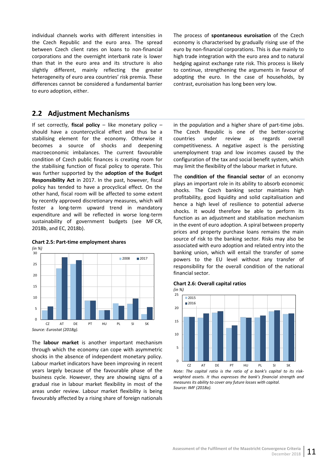individual channels works with different intensities in the Czech Republic and the euro area. The spread between Czech client rates on loans to non-financial corporations and the overnight interbank rate is lower than that in the euro area and its structure is also slightly different, mainly reflecting the greater heterogeneity of euro area countries' risk premia. These differences cannot be considered a fundamental barrier to euro adoption, either.

## <span id="page-16-0"></span>**2.2 Adjustment Mechanisms**

If set correctly, **fiscal policy** – like monetary policy – should have a countercyclical effect and thus be a stabilising element for the economy. Otherwise it becomes a source of shocks and deepening macroeconomic imbalances. The current favourable condition of Czech public finances is creating room for the stabilising function of fiscal policy to operate. This was further supported by the **adoption of the Budget Responsibility Act** in 2017. In the past, however, fiscal policy has tended to have a procyclical effect. On the other hand, fiscal room will be affected to some extent by recently approved discretionary measures, which will foster a long-term upward trend in mandatory expenditure and will be reflected in worse long-term sustainability of government budgets (see MF CR, 2018b, and EC, 2018b).

<span id="page-16-1"></span>

The **labour market** is another important mechanism through which the economy can cope with asymmetric shocks in the absence of independent monetary policy. Labour market indicators have been improving in recent years largely because of the favourable phase of the business cycle. However, they are showing signs of a gradual rise in labour market flexibility in most of the areas under review. Labour market flexibility is being

favourably affected by a rising share of foreign nationals

The process of **spontaneous euroisation** of the Czech economy is characterised by gradually rising use of the euro by non-financial corporations. This is due mainly to high trade integration with the euro area and to natural hedging against exchange rate risk. This process is likely to continue, strengthening the arguments in favour of adopting the euro. In the case of households, by contrast, euroisation has long been very low.

in the population and a higher share of part-time jobs. The Czech Republic is one of the better-scoring countries under review as regards overall competitiveness. A negative aspect is the persisting unemployment trap and low incomes caused by the configuration of the tax and social benefit system, which may limit the flexibility of the labour market in future.

The **condition of the financial sector** of an economy plays an important role in its ability to absorb economic shocks. The Czech banking sector maintains high profitability, good liquidity and solid capitalisation and hence a high level of resilience to potential adverse shocks. It would therefore be able to perform its function as an adjustment and stabilisation mechanism in the event of euro adoption. A spiral between property prices and property purchase loans remains the main source of risk to the banking sector. Risks may also be associated with euro adoption and related entry into the banking union, which will entail the transfer of some powers to the EU level without any transfer of responsibility for the overall condition of the national financial sector.

#### <span id="page-16-2"></span>**Chart 2.6: Overall capital ratios**



*Note: The capital ratio is the ratio of a bank's capital to its riskweighted assets. It thus expresses the bank's financial strength and measures its ability to cover any future losses with capital. Source: IMF (2018a).*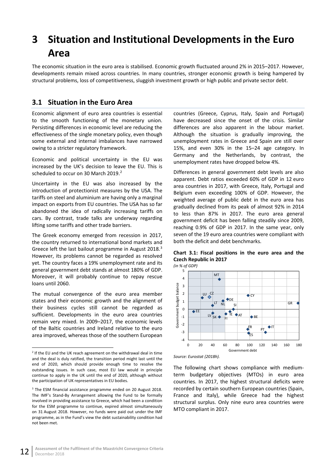# <span id="page-17-0"></span>**3 Situation and Institutional Developments in the Euro Area**

The economic situation in the euro area is stabilised. Economic growth fluctuated around 2% in 2015–2017. However, developments remain mixed across countries. In many countries, stronger economic growth is being hampered by structural problems, loss of competitiveness, sluggish investment growth or high public and private sector debt.

## <span id="page-17-1"></span>**3.1 Situation in the Euro Area**

Economic alignment of euro area countries is essential to the smooth functioning of the monetary union. Persisting differences in economic level are reducing the effectiveness of the single monetary policy, even though some external and internal imbalances have narrowed owing to a stricter regulatory framework.

Economic and political uncertainty in the EU was increased by the UK's decision to leave the EU. This is scheduled to occur on 30 March [2](#page-17-3)019.<sup>2</sup>

Uncertainty in the EU was also increased by the introduction of protectionist measures by the USA. The tariffs on steel and aluminium are having only a marginal impact on exports from EU countries. The USA has so far abandoned the idea of radically increasing tariffs on cars. By contrast, trade talks are underway regarding lifting some tariffs and other trade barriers.

The Greek economy emerged from recession in 2017, the country returned to international bond markets and Greece left the last bailout programme in August 2018.<sup>[3](#page-17-4)</sup> However, its problems cannot be regarded as resolved yet. The country faces a 19% unemployment rate and its general government debt stands at almost 180% of GDP. Moreover, it will probably continue to repay rescue loans until 2060.

The mutual convergence of the euro area member states and their economic growth and the alignment of their business cycles still cannot be regarded as sufficient. Developments in the euro area countries remain very mixed. In 2009–2017, the economic levels of the Baltic countries and Ireland relative to the euro area improved, whereas those of the southern European

countries (Greece, Cyprus, Italy, Spain and Portugal) have decreased since the onset of the crisis. Similar differences are also apparent in the labour market. Although the situation is gradually improving, the unemployment rates in Greece and Spain are still over 15%, and even 30% in the 15–24 age category. In Germany and the Netherlands, by contrast, the unemployment rates have dropped below 4%.

Differences in general government debt levels are also apparent. Debt ratios exceeded 60% of GDP in 12 euro area countries in 2017, with Greece, Italy, Portugal and Belgium even exceeding 100% of GDP. However, the weighted average of public debt in the euro area has gradually declined from its peak of almost 92% in 2014 to less than 87% in 2017. The euro area general government deficit has been falling steadily since 2009, reaching 0.9% of GDP in 2017. In the same year, only seven of the 19 euro area countries were compliant with both the deficit and debt benchmarks.

<span id="page-17-2"></span>**Chart 3.1: Fiscal positions in the euro area and the Czech Republic in 2017**



*Source: Eurostat (2018h).*

The following chart shows compliance with mediumterm budgetary objectives (MTOs) in euro area countries. In 2017, the highest structural deficits were recorded by certain southern European countries (Spain, France and Italy), while Greece had the highest structural surplus. Only nine euro area countries were MTO compliant in 2017.

<span id="page-17-3"></span> $2$  If the EU and the UK reach agreement on the withdrawal deal in time and the deal is duly ratified, the transition period might last until the end of 2020, which should provide enough time to resolve the outstanding issues. In such case, most EU law would in principle continue to apply in the UK until the end of 2020, although without the participation of UK representatives in EU bodies.

<span id="page-17-4"></span><sup>3</sup> The ESM financial assistance programme ended on 20 August 2018. The IMF's Stand-By Arrangement allowing the Fund to be formally involved in providing assistance to Greece, which had been a condition for the ESM programme to continue, expired almost simultaneously on 31 August 2018. However, no funds were paid out under the IMF programme, as in the Fund's view the debt sustainability condition had not been met.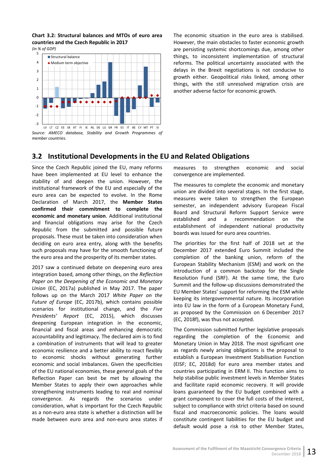<span id="page-18-1"></span>**Chart 3.2: Structural balances and MTOs of euro area countries and the Czech Republic in 2017** *(in % of GDP)*



<span id="page-18-0"></span>*member countries.*

The economic situation in the euro area is stabilised. However, the main obstacles to faster economic growth are persisting systemic shortcomings due, among other things, to inconsistent implementation of structural reforms. The political uncertainty associated with the delays in the Brexit negotiations is not conducive to growth either. Geopolitical risks linked, among other things, with the still unresolved migration crisis are another adverse factor for economic growth.

## **3.2 Institutional Developments in the EU and Related Obligations**

Since the Czech Republic joined the EU, many reforms have been implemented at EU level to enhance the stability of and deepen the union. However, the institutional framework of the EU and especially of the euro area can be expected to evolve. In the Rome Declaration of March 2017, the **Member States confirmed their commitment to complete the economic and monetary union**. Additional institutional and financial obligations may arise for the Czech Republic from the submitted and possible future proposals. These must be taken into consideration when deciding on euro area entry, along with the benefits such proposals may have for the smooth functioning of the euro area and the prosperity of its member states.

2017 saw a continued debate on deepening euro area integration based, among other things, on the *Reflection Paper on the Deepening of the Economic and Monetary Union* (EC, 2017a) published in May 2017. The paper follows up on the March 2017 *White Paper on the Future of Europe* (EC, 2017b), which contains possible scenarios for institutional change, and the *Five Presidents' Report* (EC, 2015), which discusses deepening European integration in the economic, financial and fiscal areas and enhancing democratic accountability and legitimacy. The declared aim is to find a combination of instruments that will lead to greater economic resilience and a better ability to react flexibly to economic shocks without generating further economic and social imbalances. Given the specificities of the EU national economies, these general goals of the Reflection Paper can best be met by allowing the Member States to apply their own approaches while strengthening instruments leading to real and nominal convergence. As regards the scenarios under consideration, what is important for the Czech Republic as a non-euro area state is whether a distinction will be made between euro area and non-euro area states if

measures to strengthen economic and social convergence are implemented.

The measures to complete the economic and monetary union are divided into several stages. In the first stage, measures were taken to strengthen the European semester, an independent advisory European Fiscal Board and Structural Reform Support Service were established and a recommendation on the establishment of independent national productivity boards was issued for euro area countries.

The priorities for the first half of 2018 set at the December 2017 extended Euro Summit included the completion of the banking union, reform of the European Stability Mechanism (ESM) and work on the introduction of a common backstop for the Single Resolution Fund (SRF). At the same time, the Euro Summit and the follow-up discussions demonstrated the EU Member States' support for reforming the ESM while keeping its intergovernmental nature. Its incorporation into EU law in the form of a European Monetary Fund, as proposed by the Commission on 6 December 2017 (EC, 2018f), was thus not accepted.

The Commission submitted further legislative proposals regarding the completion of the Economic and Monetary Union in May 2018. The most significant one as regards newly arising obligations is the proposal to establish a European Investment Stabilisation Function (EISF; EC, 2018d) for euro area member states and countries participating in ERM II. This function aims to help stabilise public investment levels in Member States and facilitate rapid economic recovery. It will provide loans guaranteed by the EU budget combined with a grant component to cover the full costs of the interest, subject to compliance with strict criteria based on sound fiscal and macroeconomic policies. The loans would constitute contingent liabilities for the EU budget and default would pose a risk to other Member States,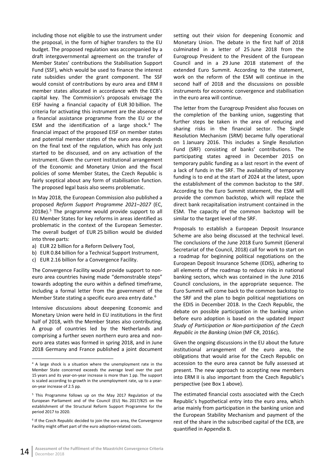including those not eligible to use the instrument under the proposal, in the form of higher transfers to the EU budget. The proposed regulation was accompanied by a draft intergovernmental agreement on the transfer of Member States' contributions the Stabilisation Support Fund (SSF), which would be used to finance the interest rate subsidies under the grant component. The SSF would consist of contributions by euro area and ERM II member states allocated in accordance with the ECB's capital key. The Commission's proposals envisage the EISF having a financial capacity of EUR 30 billion. The criteria for activating this instrument are the absence of a financial assistance programme from the EU or the ESM and the identification of a large shock.<sup>[4](#page-19-0)</sup> The financial impact of the proposed EISF on member states and potential member states of the euro area depends on the final text of the regulation, which has only just started to be discussed, and on any activation of the instrument. Given the current institutional arrangement of the Economic and Monetary Union and the fiscal policies of some Member States, the Czech Republic is fairly sceptical about any form of stabilisation function. The proposed legal basis also seems problematic.

In May 2018, the European Commission also published a proposed *Reform Support Programme 2021–2027* (EC, 2018e).<sup>[5](#page-19-1)</sup> The programme would provide support to all EU Member States for key reforms in areas identified as problematic in the context of the European Semester. The overall budget of EUR 25 billion would be divided into three parts:

- a) EUR 22 billion for a Reform Delivery Tool,
- b) EUR 0.84 billion for a Technical Support Instrument,
- c) EUR 2.16 billion for a Convergence Facility.

The Convergence Facility would provide support to noneuro area countries having made "demonstrable steps" towards adopting the euro within a defined timeframe, including a formal letter from the government of the Member State stating a specific euro area entry date.<sup>[6](#page-19-2)</sup>

Intensive discussions about deepening Economic and Monetary Union were held in EU institutions in the first half of 2018, with the Member States also contributing. A group of countries led by the Netherlands and comprising a further seven northern euro area and noneuro area states was formed in spring 2018, and in June 2018 Germany and France published a joint document setting out their vision for deepening Economic and Monetary Union. The debate in the first half of 2018 culminated in a letter of 25 June 2018 from the Eurogroup President to the President of the European Council and in a 29 June 2018 statement of the extended Euro Summit. According to the statement, work on the reform of the ESM will continue in the second half of 2018 and the discussions on possible instruments for economic convergence and stabilisation in the euro area will continue.

The letter from the Eurogroup President also focuses on the completion of the banking union, suggesting that further steps be taken in the area of reducing and sharing risks in the financial sector. The Single Resolution Mechanism (SRM) became fully operational on 1 January 2016. This includes a Single Resolution Fund (SRF) consisting of banks' contributions. The participating states agreed in December 2015 on temporary public funding as a last resort in the event of a lack of funds in the SRF. The availability of temporary funding is to end at the start of 2024 at the latest, upon the establishment of the common backstop to the SRF. According to the Euro Summit statement, the ESM will provide the common backstop, which will replace the direct bank recapitalisation instrument contained in the ESM. The capacity of the common backstop will be similar to the target level of the SRF.

Proposals to establish a European Deposit Insurance Scheme are also being discussed at the technical level. The conclusions of the June 2018 Euro Summit (General Secretariat of the Council, 2018) call for work to start on a roadmap for beginning political negotiations on the European Deposit Insurance Scheme (EDIS), adhering to all elements of the roadmap to reduce risks in national banking sectors, which was contained in the June 2016 Council conclusions, in the appropriate sequence. The Euro Summit will come back to the common backstop to the SRF and the plan to begin political negotiations on the EDIS in December 2018. In the Czech Republic, the debate on possible participation in the banking union before euro adoption is based on the updated *Impact Study of Participation or Non-participation of the Czech Republic in the Banking Union* (MF CR, 2016c).

Given the ongoing discussions in the EU about the future institutional arrangement of the euro area, the obligations that would arise for the Czech Republic on accession to the euro area cannot be fully assessed at present. The new approach to accepting new members into ERM II is also important from the Czech Republic's perspective (see Box 1 above).

The estimated financial costs associated with the Czech Republic's hypothetical entry into the euro area, which arise mainly from participation in the banking union and the European Stability Mechanism and payment of the rest of the share in the subscribed capital of the ECB, are quantified in Appendix B.

<span id="page-19-0"></span> <sup>4</sup> A large shock is a situation where the unemployment rate in the Member State concerned exceeds the average level over the past 15 years and its year-on-year increase is more than 1 pp. The support is scaled according to growth in the unemployment rate, up to a yearon-year increase of 2.5 pp.

<span id="page-19-1"></span><sup>&</sup>lt;sup>5</sup> This Programme follows up on the May 2017 Regulation of the European Parliament and of the Council (EU) No. 2017/825 on the establishment of the Structural Reform Support Programme for the period 2017 to 2020.

<span id="page-19-2"></span><sup>&</sup>lt;sup>6</sup> If the Czech Republic decided to join the euro area, the Convergence Facility might offset part of the euro adoption-related costs.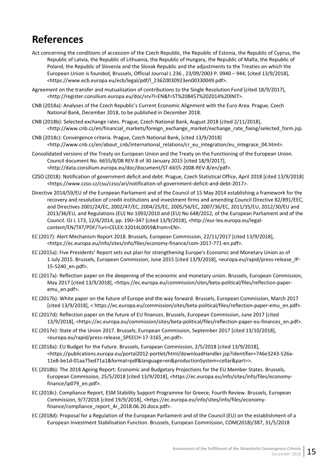# <span id="page-20-0"></span>**References**

- Act concerning the conditions of accession of the Czech Republic, the Republic of Estonia, the Republic of Cyprus, the Republic of Latvia, the Republic of Lithuania, the Republic of Hungary, the Republic of Malta, the Republic of Poland, the Republic of Slovenia and the Slovak Republic and the adjustments to the Treaties on which the European Union is founded, Brussels, Official Journal L 236 , 23/09/2003 P. 0940 – 944, [cited 13/9/2018], <https://www.ecb.europa.eu/ecb/legal/pdf/l\_23620030923en00330049.pdf>.
- Agreement on the transfer and mutualisation of contributions to the Single Resolution Fund [cited 18/9/2017], <http://register.consilium.europa.eu/doc/srv?l=EN&f=ST%208457%202014%20INIT>.
- CNB (2018a): Analyses of the Czech Republic's Current Economic Alignment with the Euro Area. Prague, Czech National Bank, December 2018, to be published in December 2018.
- CNB (2018b): Selected exchange rates. Prague, Czech National Bank, August 2018 [cited 2/11/2018], <http://www.cnb.cz/en/financial\_markets/foreign\_exchange\_market/exchange\_rate\_fixing/selected\_form.jsp.
- CNB (2018c): Convergence criteria. Prague, Czech National Bank, [cited 13/9/2018] <http://www.cnb.cz/en/about\_cnb/international\_relations/cr\_eu\_integration/eu\_integrace\_04.html>.
- Consolidated versions of the Treaty on European Union and the Treaty on the Functioning of the European Union. Council document No. 6655/8/08 REV 8 of 30 January 2015 [cited 18/9/2017], <http://data.consilium.europa.eu/doc/document/ST-6655-2008-REV-8/en/pdf>.
- CZSO (2018): Notification of government deficit and debt. Prague, Czech Statistical Office, April 2018 [cited 13/9/2018] <https://www.czso.cz/csu/czso/ari/notification-of-government-deficit-and-debt-2017>.
- Directive 2014/59/EU of the European Parliament and of the Council of 15 May 2014 establishing a framework for the recovery and resolution of credit institutions and investment firms and amending Council Directive 82/891/EEC, and Directives 2001/24/EC, 2002/47/EC, 2004/25/EC, 2005/56/EC, 2007/36/EC, 2011/35/EU, 2012/30/EU and 2013/36/EU, and Regulations (EU) No 1093/2010 and (EU) No 648/2012, of the European Parliament and of the Council. OJ L 173, 12/6/2014, pp. 190–347 [cited 13/9/2018], <http://eur-lex.europa.eu/legalcontent/EN/TXT/PDF/?uri=CELEX:32014L0059&from=EN>.
- EC (2017): Alert Mechanism Report 2018. Brussels, European Commission, 22/11/2017 [cited 13/9/2018], <https://ec.europa.eu/info/sites/info/files/economy-finance/com-2017-771-en.pdf>.
- EC (2015a): Five Presidents' Report sets out plan for strengthening Europe's Economic and Monetary Union as of 1 July 2015. Brussels, European Commission, June 2015 [cited 13/9/2018], <europa.eu/rapid/press-release\_IP-15-5240\_en.pdf>.
- EC (2017a): Reflection paper on the deepening of the economic and monetary union. Brussels, European Commission, May 2017 [cited 13/9/2018], <https://ec.europa.eu/commission/sites/beta-political/files/reflection-paperemu\_en.pdf>.
- EC (2017b): White paper on the future of Europe and the way forward. Brussels, European Commission, March 2017 [cited 13/9/2018], < https://ec.europa.eu/commission/sites/beta-political/files/reflection-paper-emu\_en.pdf>.
- EC (2017d): Reflection paper on the future of EU finances. Brussels, European Commission, June 2017 [cited 13/9/2018], <https://ec.europa.eu/commission/sites/beta-political/files/reflection-paper-eu-finances\_en.pdf>.
- EC (2017e): State of the Union 2017. Brussels, European Commission, September 2017 [cited 13/10/2018], <europa.eu/rapid/press-release\_SPEECH-17-3165\_en.pdf>.
- EC (2018a): EU Budget for the Future. Brussels, European Commission, 2/5/2018 [cited 13/9/2018], <https://publications.europa.eu/portal2012-portlet/html/downloadHandler.jsp?identifier=746e3243-526a-11e8-be1d-01aa75ed71a1&format=pdf&language=en&productionSystem=cellar&part=>.
- EC (2018b): The 2018 Ageing Report: Economic and Budgetary Projections for the EU Member States. Brussels, European Commission, 25/5/2018 [cited 13/9/2018], <https://ec.europa.eu/info/sites/info/files/economyfinance/ip079\_en.pdf>.
- EC (2018c): Compliance Report, ESM Stability Support Programme for Greece, Fourth Review. Brussels, European Commission, 9/7/2018 [cited 19/9/2018], [<https://ec.europa.eu/info/sites/info/files/economy](https://ec.europa.eu/info/sites/info/files/economy-finance/compliance_report_4r_2018.06.20.docx.pdf)[finance/compliance\\_report\\_4r\\_2018.06.20.docx.pdf>](https://ec.europa.eu/info/sites/info/files/economy-finance/compliance_report_4r_2018.06.20.docx.pdf).
- EC (2018d): Proposal for a Regulation of the European Parliament and of the Council (EU) on the establishment of a European Investment Stabilisation Function. Brussels, European Commission, COM(2018)/387, 31/5/2018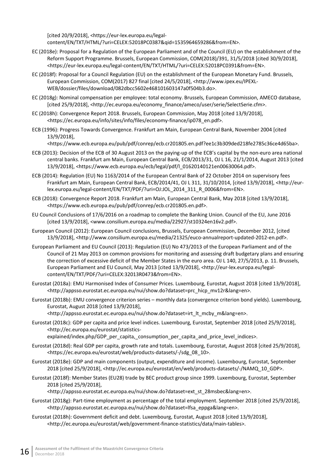[cited 20/9/2018], <https://eur-lex.europa.eu/legalcontent/EN/TXT/HTML/?uri=CELEX:52018PC0387&qid=1535964659286&from=EN>.

- EC (2018e): Proposal for a Regulation of the European Parliament and of the Council (EU) on the establishment of the Reform Support Programme. Brussels, European Commission, COM(2018)/391, 31/5/2018 [cited 30/9/2018], <https://eur-lex.europa.eu/legal-content/EN/TXT/HTML/?uri=CELEX:52018PC0391&from=EN>.
- EC (2018f): Proposal for a Council Regulation (EU) on the establishment of the European Monetary Fund. Brussels, European Commission, COM(2017) 827 final [cited 24/5/2018], <http://www.ipex.eu/IPEXL-WEB/dossier/files/download/082dbcc5602e468101603147a0f504b3.do>.
- EC (2018g): Nominal compensation per employee: total economy. Brussels, European Commission, AMECO database, [cited 25/9/2018], <http://ec.europa.eu/economy\_finance/ameco/user/serie/SelectSerie.cfm>.
- EC (2018h): Convergence Report 2018. Brussels, European Commission, May 2018 [cited 13/9/2018], <https://ec.europa.eu/info/sites/info/files/economy-finance/ip078\_en.pdf>.
- ECB (1996): Progress Towards Convergence. Frankfurt am Main, European Central Bank, November 2004 [cited 13/9/2018],

<https://www.ecb.europa.eu/pub/pdf/conrep/ecb.cr201805.en.pdf?ee1c3b309ded218fe2785c36ce4d65ba>.

- ECB (2013): Decision of the ECB of 30 August 2013 on the paying-up of the ECB's capital by the non-euro area national central banks. Frankfurt am Main, European Central Bank, ECB/2013/31, OJ L 16, 21/1/2014, August 2013 [cited 13/9/2018], <https://www.ecb.europa.eu/ecb/legal/pdf/l\_01620140121en00630064.pdf>.
- ECB (2014): Regulation (EU) No 1163/2014 of the European Central Bank of 22 October 2014 on supervisory fees Frankfurt am Main, European Central Bank, ECB/2014/41, OJ L 311, 31/10/2014, [cited 13/9/2018], <http://eurlex.europa.eu/legal-content/EN/TXT/PDF/?uri=OJ:JOL\_2014\_311\_R\_0006&from=EN>.
- ECB (2018): Convergence Report 2018. Frankfurt am Main, European Central Bank, May 2018 [cited 13/9/2018], <https://www.ecb.europa.eu/pub/pdf/conrep/ecb.cr201805.en.pdf>.
- EU Council Conclusions of 17/6/2016 on a roadmap to complete the Banking Union. Council of the EU, June 2016 [cited 13/9/2018], <www.consilium.europa.eu/media/22927/st10324en16v2.pdf>.
- European Council (2012): European Council conclusions, Brussels, European Commission, December 2012, [cited 13/9/2018], <http://www.consilium.europa.eu/media/21325/euco-annualreport-updated-2012-en.pdf>.
- European Parliament and EU Council (2013): Regulation (EU) No 473/2013 of the European Parliament and of the Council of 21 May 2013 on common provisions for monitoring and assessing draft budgetary plans and ensuring the correction of excessive deficit of the Member States in the euro area. OJ L 140, 27/5/2013, p. 11. Brussels, European Parliament and EU Council, May 2013 [cited 13/9/2018], <http://eur-lex.europa.eu/legalcontent/EN/TXT/PDF/?uri=CELEX:32013R0473&from=EN>.
- Eurostat (2018a): EMU Harmonised Index of Consumer Prices. Luxembourg, Eurostat, August 2018 [cited 13/9/2018], <http://appsso.eurostat.ec.europa.eu/nui/show.do?dataset=prc\_hicp\_mv12r&lang=en>.
- Eurostat (2018b): EMU convergence criterion series monthly data (convergence criterion bond yields). Luxembourg, Eurostat, August 2018 [cited 13/9/2018],

<http://appsso.eurostat.ec.europa.eu/nui/show.do?dataset=irt\_lt\_mcby\_m&lang=en>.

Eurostat (2018c): GDP per capita and price level indices. Luxembourg, Eurostat, September 2018 [cited 25/9/2018], <http://ec.europa.eu/eurostat/statistics-

explained/index.php/GDP\_per\_capita, consumption\_per\_capita\_and\_price\_level\_indices>.

- Eurostat (2018d): Real GDP per capita, growth rate and totals. Luxembourg, Eurostat, August 2018 [cited 25/9/2018], <https://ec.europa.eu/eurostat/web/products-datasets/-/sdg\_08\_10>.
- Eurostat (2018e): GDP and main components (output, expenditure and income). Luxembourg, Eurostat, September 2018 [cited 25/9/2018], <http://ec.europa.eu/eurostat/en/web/products-datasets/-/NAMQ\_10\_GDP>.
- Eurostat (2018f): Member States (EU28) trade by BEC product group since 1999. Luxembourg, Eurostat, September 2018 [cited 25/9/2018],

<http://appsso.eurostat.ec.europa.eu/nui/show.do?dataset=ext\_st\_28msbec&lang=en>.

- Eurostat (2018g): Part-time employment as percentage of the total employment. September 2018 [cited 25/9/2018], <http://appsso.eurostat.ec.europa.eu/nui/show.do?dataset=lfsa\_eppga&lang=en>.
- Eurostat (2018h): Government deficit and debt. Luxembourg, Eurostat, August 2018 [cited 13/9/2018], [<http://ec.europa.eu/eurostat/web/government-finance-statistics/data/main-tables>](http://ec.europa.eu/eurostat/web/government-finance-statistics/data/main-tables).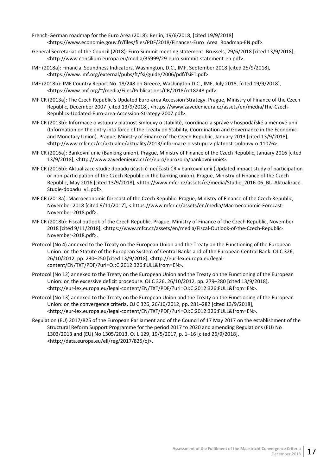- French-German roadmap for the Euro Area (2018): Berlin, 19/6/2018, [cited 19/9/2018] <https://www.economie.gouv.fr/files/files/PDF/2018/Finances-Euro\_Area\_Roadmap-EN.pdf>.
- General Secretariat of the Council (2018): Euro Summit meeting statement. Brussels, 29/6/2018 [cited 13/9/2018], <http://www.consilium.europa.eu/media/35999/29-euro-summit-statement-en.pdf>.
- IMF (2018a): Financial Soundness Indicators. Washington, D.C., IMF, September 2018 [cited 25/9/2018], <https://www.imf.org/external/pubs/ft/fsi/guide/2006/pdf/fsiFT.pdf>.
- IMF (2018b): IMF Country Report No. 18/248 on Greece, Washington D.C., IMF, July 2018, [cited 19/9/2018], <https://www.imf.org/~/media/Files/Publications/CR/2018/cr18248.pdf>.
- MF CR (2013a): The Czech Republic's Updated Euro-area Accession Strategy. Prague, Ministry of Finance of the Czech Republic, December 2007 [cited 13/9/2018], <https://www.zavedenieura.cz/assets/en/media/The-Czech-Republics-Updated-Euro-area-Accession-Strategy-2007.pdf>.
- MF CR (2013b): Informace o vstupu v platnost Smlouvy o stabilitě, koordinaci a správě v hospodářské a měnové unii (Information on the entry into force of the Treaty on Stability, Coordination and Governance in the Economic and Monetary Union). Prague, Ministry of Finance of the Czech Republic, January 2013 [cited 13/9/2018], <http://www.mfcr.cz/cs/aktualne/aktuality/2013/informace-o-vstupu-v-platnost-smlouvy-o-11076>.
- MF CR (2016a): Bankovní unie (Banking union). Prague, Ministry of Finance of the Czech Republic, January 2016 [cited 13/9/2018], <http://www.zavedenieura.cz/cs/euro/eurozona/bankovni-unie>.
- MF CR (2016b): Aktualizace studie dopadu účasti či neúčasti ČR v bankovní unii (Updated impact study of participation or non-participation of the Czech Republic in the banking union). Prague, Ministry of Finance of the Czech Republic, May 2016 [cited 13/9/2018], <http://www.mfcr.cz/assets/cs/media/Studie\_2016-06\_BU-Aktualizace-Studie-dopadu\_v1.pdf>.
- MF CR (2018a): Macroeconomic forecast of the Czech Republic. Prague, Ministry of Finance of the Czech Republic, November 2018 [cited 9/11/2017], < https://www.mfcr.cz/assets/en/media/Macroeconomic-Forecast-November-2018.pdf>.
- MF CR (2018b): Fiscal outlook of the Czech Republic. Prague, Ministry of Finance of the Czech Republic, November 2018 [cited 9/11/2018], <https://www.mfcr.cz/assets/en/media/Fiscal-Outlook-of-the-Czech-Republic-November-2018.pdf>.
- [Protocol \(](http://eur-lex.europa.eu/legal-content/EN/TXT/PDF/?uri=OJ:C:2012:326:FULL&from=EN)No 4) annexed to the Treaty on the European Union and the Treaty on the Functioning of the European Union: on the Statute of the European System of Central Banks and of the European Central Bank. OJ C 326, 26/10/2012, pp. 230–250 [cited 13/9/2018], <http://eur-lex.europa.eu/legalcontent/EN/TXT/PDF/?uri=OJ:C:2012:326:FULL&from=EN>.
- Protocol (No 12) annexed to the Treaty on the European Union and the Treaty on the Functioning of the European Union: on the excessive deficit procedure. OJ C 326, 26/10/2012, pp. 279–280 [cited 13/9/2018], <http://eur-lex.europa.eu/legal-content/EN/TXT/PDF/?uri=OJ:C:2012:326:FULL&from=EN>.
- Protocol (No 13) annexed to the Treaty on the European Union and the Treaty on the Functioning of the European Union: on the convergence criteria. OJ C 326, 26/10/2012, pp. 281–282 [cited 13/9/2018], <http://eur-lex.europa.eu/legal-content/EN/TXT/PDF/?uri=OJ:C:2012:326:FULL&from=EN>.
- Regulation (EU) 2017/825 of the European Parliament and of the Council of 17 May 2017 on the establishment of the Structural Reform Support Programme for the period 2017 to 2020 and amending Regulations (EU) No 1303/2013 and (EU) No 1305/2013, OJ L 129, 19/5/2017, p. 1–16 [cited 26/9/2018], <http://data.europa.eu/eli/reg/2017/825/oj>.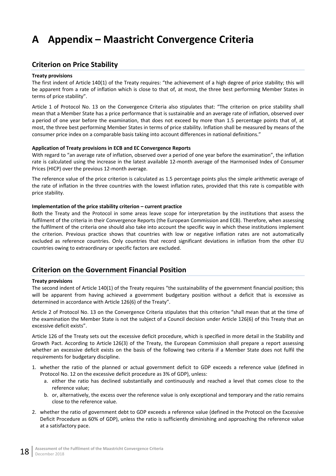# <span id="page-23-0"></span>**A Appendix – Maastricht Convergence Criteria**

## <span id="page-23-1"></span>**Criterion on Price Stability**

### **Treaty provisions**

The first indent of Article 140(1) of the Treaty requires: "the achievement of a high degree of price stability; this will be apparent from a rate of inflation which is close to that of, at most, the three best performing Member States in terms of price stability".

Article 1 of Protocol No. 13 on the Convergence Criteria also stipulates that: "The criterion on price stability shall mean that a Member State has a price performance that is sustainable and an average rate of inflation, observed over a period of one year before the examination, that does not exceed by more than 1.5 percentage points that of, at most, the three best performing Member States in terms of price stability. Inflation shall be measured by means of the consumer price index on a comparable basis taking into account differences in national definitions."

### **Application of Treaty provisions in ECB and EC Convergence Reports**

With regard to "an average rate of inflation, observed over a period of one year before the examination", the inflation rate is calculated using the increase in the latest available 12-month average of the Harmonised Index of Consumer Prices (HICP) over the previous 12-month average.

The reference value of the price criterion is calculated as 1.5 percentage points plus the simple arithmetic average of the rate of inflation in the three countries with the lowest inflation rates, provided that this rate is compatible with price stability.

### **Implementation of the price stability criterion – current practice**

Both the Treaty and the Protocol in some areas leave scope for interpretation by the institutions that assess the fulfilment of the criteria in their Convergence Reports (the European Commission and ECB). Therefore, when assessing the fulfilment of the criteria one should also take into account the specific way in which these institutions implement the criterion. Previous practice shows that countries with low or negative inflation rates are not automatically excluded as reference countries. Only countries that record significant deviations in inflation from the other EU countries owing to extraordinary or specific factors are excluded.

## <span id="page-23-2"></span>**Criterion on the Government Financial Position**

### **Treaty provisions**

The second indent of Article 140(1) of the Treaty requires "the sustainability of the government financial position; this will be apparent from having achieved a government budgetary position without a deficit that is excessive as determined in accordance with Article 126(6) of the Treaty".

Article 2 of Protocol No. 13 on the Convergence Criteria stipulates that this criterion "shall mean that at the time of the examination the Member State is not the subject of a Council decision under Article 126(6) of this Treaty that an excessive deficit exists".

Article 126 of the Treaty sets out the excessive deficit procedure, which is specified in more detail in the Stability and Growth Pact. According to Article 126(3) of the Treaty, the European Commission shall prepare a report assessing whether an excessive deficit exists on the basis of the following two criteria if a Member State does not fulfil the requirements for budgetary discipline.

- 1. whether the ratio of the planned or actual government deficit to GDP exceeds a reference value (defined in Protocol No. 12 on the excessive deficit procedure as 3% of GDP), unless:
	- a. either the ratio has declined substantially and continuously and reached a level that comes close to the reference value;
	- b. or, alternatively, the excess over the reference value is only exceptional and temporary and the ratio remains close to the reference value.
- 2. whether the ratio of government debt to GDP exceeds a reference value (defined in the Protocol on the Excessive Deficit Procedure as 60% of GDP), unless the ratio is sufficiently diminishing and approaching the reference value at a satisfactory pace.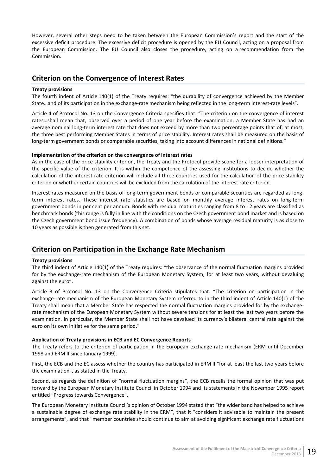However, several other steps need to be taken between the European Commission's report and the start of the excessive deficit procedure. The excessive deficit procedure is opened by the EU Council, acting on a proposal from the European Commission. The EU Council also closes the procedure, acting on a recommendation from the Commission.

## <span id="page-24-0"></span>**Criterion on the Convergence of Interest Rates**

### **Treaty provisions**

The fourth indent of Article 140(1) of the Treaty requires: "the durability of convergence achieved by the Member State…and of its participation in the exchange-rate mechanism being reflected in the long-term interest-rate levels".

Article 4 of Protocol No. 13 on the Convergence Criteria specifies that: "The criterion on the convergence of interest rates…shall mean that, observed over a period of one year before the examination, a Member State has had an average nominal long-term interest rate that does not exceed by more than two percentage points that of, at most, the three best performing Member States in terms of price stability. Interest rates shall be measured on the basis of long-term government bonds or comparable securities, taking into account differences in national definitions."

### **Implementation of the criterion on the convergence of interest rates**

As in the case of the price stability criterion, the Treaty and the Protocol provide scope for a looser interpretation of the specific value of the criterion. It is within the competence of the assessing institutions to decide whether the calculation of the interest rate criterion will include all three countries used for the calculation of the price stability criterion or whether certain countries will be excluded from the calculation of the interest rate criterion.

Interest rates measured on the basis of long-term government bonds or comparable securities are regarded as longterm interest rates. These interest rate statistics are based on monthly average interest rates on long-term government bonds in per cent per annum. Bonds with residual maturities ranging from 8 to 12 years are classified as benchmark bonds (this range is fully in line with the conditions on the Czech government bond market and is based on the Czech government bond issue frequency). A combination of bonds whose average residual maturity is as close to 10 years as possible is then generated from this set.

## <span id="page-24-1"></span>**Criterion on Participation in the Exchange Rate Mechanism**

### **Treaty provisions**

The third indent of Article 140(1) of the Treaty requires: "the observance of the normal fluctuation margins provided for by the exchange-rate mechanism of the European Monetary System, for at least two years, without devaluing against the euro".

Article 3 of Protocol No. 13 on the Convergence Criteria stipulates that: "The criterion on participation in the exchange-rate mechanism of the European Monetary System referred to in the third indent of Article 140(1) of the Treaty shall mean that a Member State has respected the normal fluctuation margins provided for by the exchangerate mechanism of the European Monetary System without severe tensions for at least the last two years before the examination. In particular, the Member State shall not have devalued its currency's bilateral central rate against the euro on its own initiative for the same period."

### **Application of Treaty provisions in ECB and EC Convergence Reports**

The Treaty refers to the criterion of participation in the European exchange-rate mechanism (ERM until December 1998 and ERM II since January 1999).

First, the ECB and the EC assess whether the country has participated in ERM II "for at least the last two years before the examination", as stated in the Treaty.

Second, as regards the definition of "normal fluctuation margins", the ECB recalls the formal opinion that was put forward by the European Monetary Institute Council in October 1994 and its statements in the November 1995 report entitled "Progress towards Convergence".

The European Monetary Institute Council's opinion of October 1994 stated that "the wider band has helped to achieve a sustainable degree of exchange rate stability in the ERM", that it "considers it advisable to maintain the present arrangements", and that "member countries should continue to aim at avoiding significant exchange rate fluctuations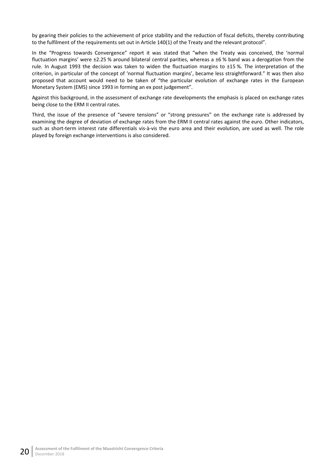by gearing their policies to the achievement of price stability and the reduction of fiscal deficits, thereby contributing to the fulfilment of the requirements set out in Article 140(1) of the Treaty and the relevant protocol".

In the "Progress towards Convergence" report it was stated that "when the Treaty was conceived, the 'normal fluctuation margins' were ±2.25 % around bilateral central parities, whereas a ±6 % band was a derogation from the rule. In August 1993 the decision was taken to widen the fluctuation margins to ±15 %. The interpretation of the criterion, in particular of the concept of 'normal fluctuation margins', became less straightforward." It was then also proposed that account would need to be taken of "the particular evolution of exchange rates in the European Monetary System (EMS) since 1993 in forming an ex post judgement".

Against this background, in the assessment of exchange rate developments the emphasis is placed on exchange rates being close to the ERM II central rates.

Third, the issue of the presence of "severe tensions" or "strong pressures" on the exchange rate is addressed by examining the degree of deviation of exchange rates from the ERM II central rates against the euro. Other indicators, such as short-term interest rate differentials vis-à-vis the euro area and their evolution, are used as well. The role played by foreign exchange interventions is also considered.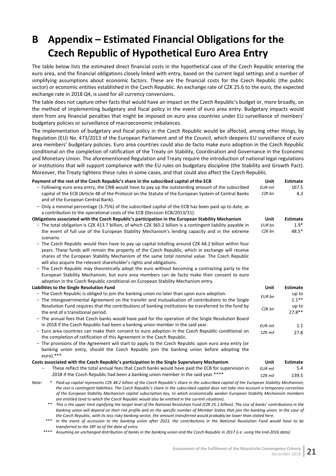# <span id="page-26-0"></span>**B Appendix – Estimated Financial Obligations for the Czech Republic of Hypothetical Euro Area Entry**

The table below lists the estimated direct financial costs in the hypothetical case of the Czech Republic entering the euro area, and the financial obligations closely linked with entry, based on the current legal settings and a number of simplifying assumptions about economic factors. These are the financial costs for the Czech Republic (the public sector) or economic entities established in the Czech Republic. An exchange rate of CZK 25.6 to the euro, the expected exchange rate in 2018 Q4, is used for all currency conversions.

The table does not capture other facts that would have an impact on the Czech Republic's budget or, more broadly, on the method of implementing budgetary and fiscal policy in the event of euro area entry. Budgetary impacts would stem from any financial penalties that might be imposed on euro area countries under EU surveillance of members' budgetary policies or surveillance of macroeconomic imbalances.

The implementation of budgetary and fiscal policy in the Czech Republic would be affected, among other things, by Regulation (EU) No. 473/2013 of the European Parliament and of the Council, which deepens EU surveillance of euro area members' budgetary policies. Euro area countries could also de facto make euro adoption in the Czech Republic conditional on the completion of ratification of the Treaty on Stability, Coordination and Governance in the Economic and Monetary Union. The aforementioned Regulation and Treaty require the introduction of national legal regulations or institutions that will support compliance with the EU rules on budgetary discipline (the Stability and Growth Pact). Moreover, the Treaty tightens these rules in some cases, and that could also affect the Czech Republic.

| Payment of the rest of the Czech Republic's share in the subscribed capital of the ECB                                                              | Unit           | <b>Estimate</b> |
|-----------------------------------------------------------------------------------------------------------------------------------------------------|----------------|-----------------|
| - Following euro area entry, the CNB would have to pay up the outstanding amount of the subscribed                                                  | <b>EUR</b> mil | 167.5           |
| capital of the ECB (Article 48 of the Protocol on the Statute of the European System of Central Banks                                               | CZK bn         | 4.3             |
| and of the European Central Bank).                                                                                                                  |                |                 |
| - Only a minimal percentage (3.75%) of the subscribed capital of the ECB has been paid up to date, as                                               |                |                 |
| a contribution to the operational costs of the ECB (Decision ECB/2013/31).                                                                          |                |                 |
| Obligations associated with the Czech Republic's participation in the European Stability Mechanism                                                  | <b>Unit</b>    | <b>Estimate</b> |
| - The total obligation is CZK 413.7 billion, of which CZK 365.2 billion is a contingent liability payable in                                        | EUR bn         | $1.9*$          |
| the event of full use of the European Stability Mechanism's lending capacity and in the extreme<br>scenario.                                        | CZK bn         | $48.5*$         |
| - The Czech Republic would then have to pay up capital totalling around CZK 48.2 billion within four                                                |                |                 |
| years. These funds will remain the property of the Czech Republic, which in exchange will receive                                                   |                |                 |
| shares of the European Stability Mechanism of the same total nominal value. The Czech Republic                                                      |                |                 |
| will also acquire the relevant shareholder's rights and obligations.                                                                                |                |                 |
| - The Czech Republic may theoretically adopt the euro without becoming a contracting party to the                                                   |                |                 |
| European Stability Mechanism, but euro area members can de facto make their consent to euro                                                         |                |                 |
| adoption in the Czech Republic conditional on European Stability Mechanism entry.                                                                   |                |                 |
| Liabilities to the Single Resolution Fund                                                                                                           | Unit           | <b>Estimate</b> |
| - The Czech Republic is obliged to join the banking union no later than upon euro adoption.                                                         | EUR bn         | up to           |
| - The intergovernmental Agreement on the transfer and mutualisation of contributions to the Single                                                  |                | $1.1***$        |
| Resolution Fund requires that the contributions of banking institutions be transferred to the fund by                                               | CZK bn         | up to           |
| the end of a transitional period.                                                                                                                   |                | $27.8**$        |
| - The annual fees that Czech banks would have paid for the operation of the Single Resolution Board                                                 |                |                 |
| in 2018 if the Czech Republic had been a banking union member in the said year.                                                                     | <b>EUR</b> mil | 1.1             |
| - Euro area countries can make their consent to euro adoption in the Czech Republic conditional on                                                  | CZK mil        | 27.8            |
| the completion of ratification of this Agreement in the Czech Republic.                                                                             |                |                 |
| - The provisions of the Agreement will start to apply to the Czech Republic upon euro area entry (or                                                |                |                 |
| banking union entry, should the Czech Republic join the banking union before adopting the<br>$euro).***$                                            |                |                 |
| Costs associated with the Czech Republic's participation in the Single Supervisory Mechanism                                                        | Unit           | <b>Estimate</b> |
| These reflect the total annual fees that Czech banks would have paid the ECB for supervision in                                                     | <b>EUR</b> mil | 5.4             |
| 2018 if the Czech Republic had been a banking union member in the said year.****                                                                    | CZK mil        | 139.5           |
| * Daid-un capital represents CZK AR 2 billion of the Czech Republic's share in the subscribed capital of the European Stability Mechanism:<br>Note: |                |                 |

*Note: \* Paid-up capital represents CZK 48.2 billion of the Czech Republic's share in the subscribed capital of the European Stability Mechanism; the rest is contingent liabilities. The Czech Republic's share in the subscribed capital does not take into account a temporary correction of the European Stability Mechanism capital subscription key, to which economically weaker European Stability Mechanism members are entitled (and to which the Czech Republic would also be entitled in the current situation).*

*\*\* This is the upper limit signifying the target level of the National Resolution Fund (CZK 25.1 billion). The size of banks' contributions in the banking union will depend on their risk profile and on the specific number of Member States that join the banking union. In the case of the Czech Republic, with its less risky banking sector, the amount transferred would probably be lower than stated here.*

*\*\*\* In the event of accession to the banking union after 2023, the contributions in the National Resolution Fund would have to be transferred to the SRF as of the date of entry.*

*\*\*\*\* Assuming an unchanged distribution of banks in the banking union and the Czech Republic in 2017 (i.e. using the end-2016 data).*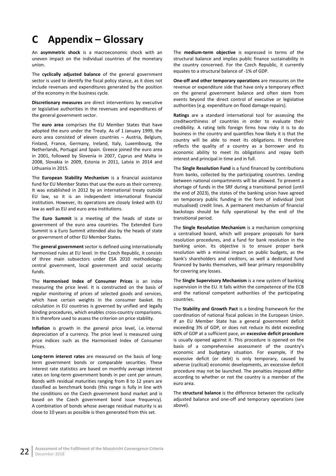# <span id="page-27-0"></span>**C Appendix – Glossary**

An **asymmetric shock** is a macroeconomic shock with an uneven impact on the individual countries of the monetary union.

The **cyclically adjusted balance** of the general government sector is used to identify the fiscal policy stance, as it does not include revenues and expenditures generated by the position of the economy in the business cycle.

**Discretionary measures** are direct interventions by executive or legislative authorities in the revenues and expenditures of the general government sector.

The **euro area** comprises the EU Member States that have adopted the euro under the Treaty. As of 1 January 1999, the euro area consisted of eleven countries – Austria, Belgium, Finland, France, Germany, Ireland, Italy, Luxembourg, the Netherlands, Portugal and Spain. Greece joined the euro area in 2001, followed by Slovenia in 2007, Cyprus and Malta in 2008, Slovakia in 2009, Estonia in 2011, Latvia in 2014 and Lithuania in 2015.

The **European Stability Mechanism** is a financial assistance fund for EU Member States that use the euro as their currency. It was established in 2012 by an international treaty outside EU law, so it is an independent international financial institution. However, its operations are closely linked with EU law as well as EU and euro area institutions.

The **Euro Summit** is a meeting of the heads of state or government of the euro area countries. The Extended Euro Summit is a Euro Summit attended also by the heads of state or government of other EU Member States.

The **general government** sector is defined using internationally harmonised rules at EU level. In the Czech Republic, it consists of three main subsectors under ESA 2010 methodology: central government, local government and social security funds.

The **Harmonised Index of Consumer Prices** is an index measuring the price level. It is constructed on the basis of regular monitoring of prices of selected goods and services, which have certain weights in the consumer basket. Its calculation in EU countries is governed by unified and legally binding procedures, which enables cross-country comparisons. It is therefore used to assess the criterion on price stability.

**Inflation** is growth in the general price level, i.e. internal depreciation of a currency. The price level is measured using price indices such as the Harmonised Index of Consumer Prices.

**Long-term interest rates** are measured on the basis of longterm government bonds or comparable securities. These interest rate statistics are based on monthly average interest rates on long-term government bonds in per cent per annum. Bonds with residual maturities ranging from 8 to 12 years are classified as benchmark bonds (this range is fully in line with the conditions on the Czech government bond market and is based on the Czech government bond issue frequency). A combination of bonds whose average residual maturity is as close to 10 years as possible is then generated from this set.

The **medium-term objective** is expressed in terms of the structural balance and implies public finance sustainability in the country concerned. For the Czech Republic, it currently equates to a structural balance of -1% of GDP.

**One-off and other temporary operations** are measures on the revenue or expenditure side that have only a temporary effect on the general government balance and often stem from events beyond the direct control of executive or legislative authorities (e.g. expenditure on flood damage repairs).

**Ratings** are a standard international tool for assessing the creditworthiness of countries in order to evaluate their credibility. A rating tells foreign firms how risky it is to do business in the country and quantifies how likely it is that the country will be able to meet its obligations. It therefore reflects the quality of a country as a borrower and its economic ability to meet its obligations and repay both interest and principal in time and in full.

The **Single Resolution Fund** is a fund financed by contributions from banks, collected by the participating countries. Lending between national compartments will be allowed. To prevent a shortage of funds in the SRF during a transitional period (until the end of 2023), the states of the banking union have agreed on temporary public funding in the form of individual (not mutualised) credit lines. A permanent mechanism of financial backstops should be fully operational by the end of the transitional period.

The **Single Resolution Mechanism** is a mechanism comprising a centralised board, which will prepare proposals for bank resolution procedures, and a fund for bank resolution in the banking union. Its objective is to ensure proper bank resolution with a minimal impact on public budgets, as the bank's shareholders and creditors, as well a dedicated fund financed by banks themselves, will bear primary responsibility for covering any losses.

The **Single Supervisory Mechanism** is a new system of banking supervision in the EU. It falls within the competence of the ECB and the national competent authorities of the participating countries.

The **Stability and Growth Pact** is a binding framework for the coordination of national fiscal policies in the European Union. If an EU Member State has a general government deficit exceeding 3% of GDP, or does not reduce its debt exceeding 60% of GDP at a sufficient pace, an **excessive deficit procedure** is usually opened against it. This procedure is opened on the basis of a comprehensive assessment of the country's economic and budgetary situation. For example, if the excessive deficit (or debt) is only temporary, caused by adverse (cyclical) economic developments, an excessive deficit procedure may not be launched. The penalties imposed differ according to whether or not the country is a member of the euro area.

The **structural balance** is the difference between the cyclically adjusted balance and one-off and temporary operations (see above).